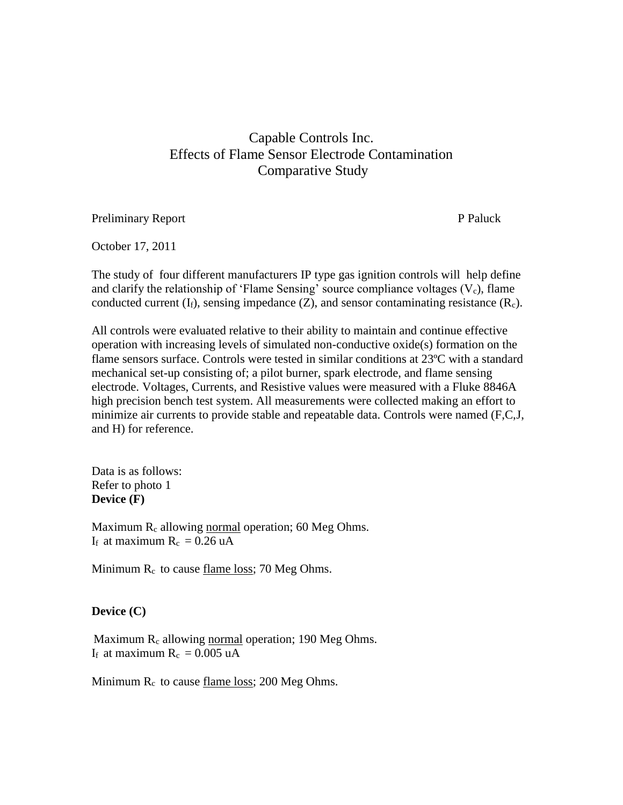# Capable Controls Inc. Effects of Flame Sensor Electrode Contamination Comparative Study

Preliminary Report P Paluck

October 17, 2011

The study of four different manufacturers IP type gas ignition controls will help define and clarify the relationship of 'Flame Sensing' source compliance voltages  $(V_c)$ , flame conducted current  $(I_f)$ , sensing impedance  $(Z)$ , and sensor contaminating resistance  $(R_c)$ .

All controls were evaluated relative to their ability to maintain and continue effective operation with increasing levels of simulated non-conductive oxide(s) formation on the flame sensors surface. Controls were tested in similar conditions at 23ºC with a standard mechanical set-up consisting of; a pilot burner, spark electrode, and flame sensing electrode. Voltages, Currents, and Resistive values were measured with a Fluke 8846A high precision bench test system. All measurements were collected making an effort to minimize air currents to provide stable and repeatable data. Controls were named (F,C,J, and H) for reference.

Data is as follows: Refer to photo 1 **Device (F)**

Maximum  $R_c$  allowing normal operation; 60 Meg Ohms. If at maximum  $R_c = 0.26$  uA

Minimum  $R_c$  to cause <u>flame loss</u>; 70 Meg Ohms.

#### **Device (C)**

Maximum R<sub>c</sub> allowing normal operation; 190 Meg Ohms. If at maximum  $R_c = 0.005$  uA

Minimum  $R_c$  to cause <u>flame loss</u>; 200 Meg Ohms.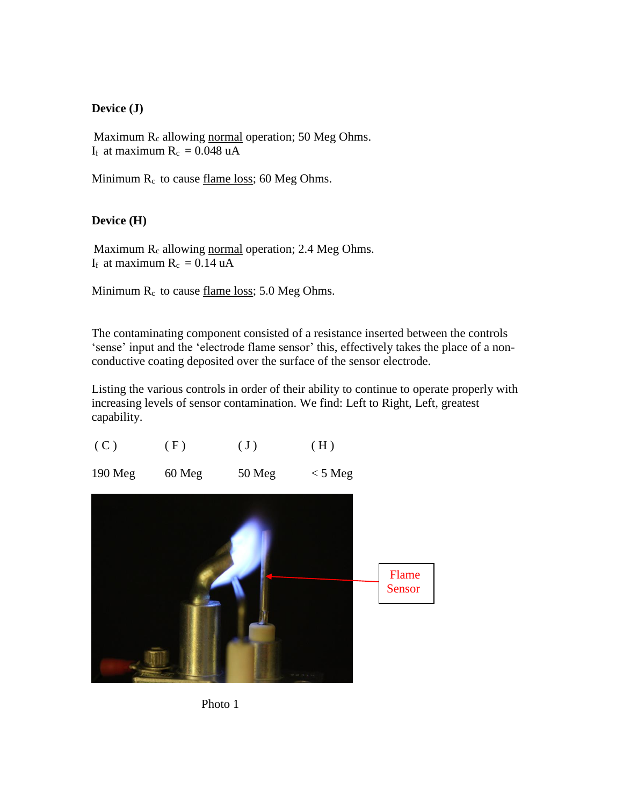## **Device (J)**

Maximum  $R_c$  allowing normal operation; 50 Meg Ohms. If at maximum  $R_c = 0.048$  uA

Minimum  $R_c$  to cause flame loss; 60 Meg Ohms.

## **Device (H)**

Maximum  $R_c$  allowing normal operation; 2.4 Meg Ohms. If at maximum  $R_c = 0.14$  uA

Minimum  $R_c$  to cause <u>flame loss</u>; 5.0 Meg Ohms.

The contaminating component consisted of a resistance inserted between the controls 'sense' input and the 'electrode flame sensor' this, effectively takes the place of a nonconductive coating deposited over the surface of the sensor electrode.

Listing the various controls in order of their ability to continue to operate properly with increasing levels of sensor contamination. We find: Left to Right, Left, greatest capability.

| (C)     | (F)    | $(\mathrm{J})$ | (H)               |                 |
|---------|--------|----------------|-------------------|-----------------|
| 190 Meg | 60 Meg | 50 Meg         | $< 5 \text{ Meg}$ |                 |
|         |        |                |                   | Flame<br>Sensor |



**STATISTICS**